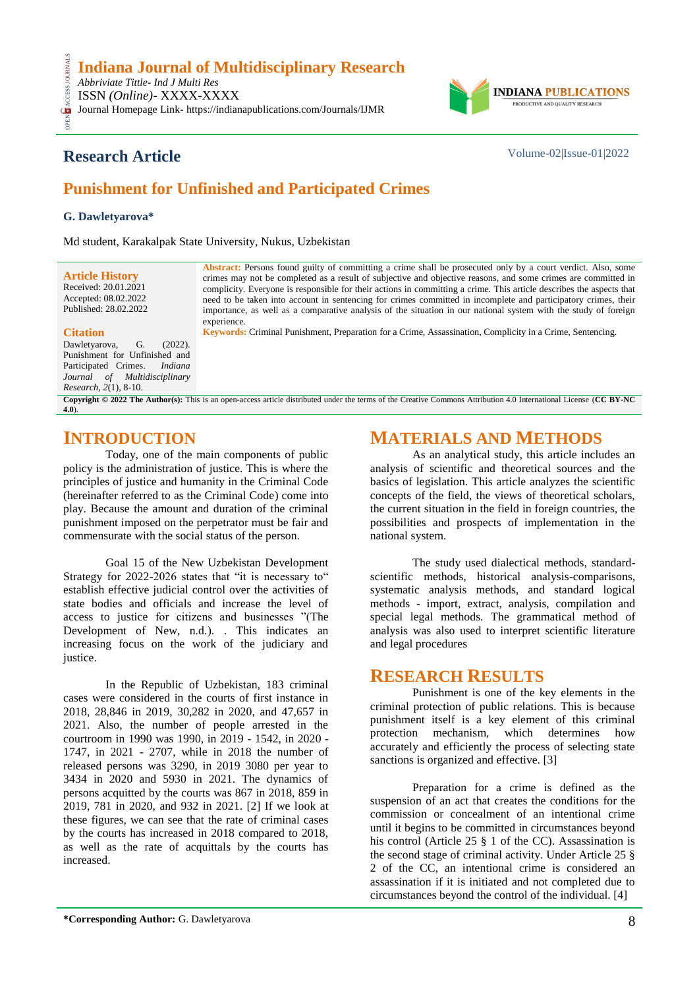*Abbriviate Tittle- Ind J Multi Res* ISSN *(Online)*- XXXX-XXXX

OPEN ACCESS JOURNALS CESS Journal Homepage Link- https://indianapublications.com/Journals/IJMR



## **Research Article** Volume-02|Issue-01|2022

# **Punishment for Unfinished and Participated Crimes**

#### **G. Dawletyarova\***

Md student, Karakalpak State University, Nukus, Uzbekistan

**Article History** Received: 20.01.2021 Accepted: 08.02.2022 Published: 28.02.2022

#### **Citation**

Dawletyarova, G. (2022). Punishment for Unfinished and<br>Particinated Crimes. *Indiana* Participated Crimes. *Journal of Multidisciplinary Research, 2*(1), 8-10.

**Abstract:** Persons found guilty of committing a crime shall be prosecuted only by a court verdict. Also, some crimes may not be completed as a result of subjective and objective reasons, and some crimes are committed in complicity. Everyone is responsible for their actions in committing a crime. This article describes the aspects that need to be taken into account in sentencing for crimes committed in incomplete and participatory crimes, their importance, as well as a comparative analysis of the situation in our national system with the study of foreign experience*.*

**Keywords:** Criminal Punishment, Preparation for a Crime, Assassination, Complicity in a Crime, Sentencing*.*

**Copyright © 2022 The Author(s):** This is an open-access article distributed under the terms of the Creative Commons Attribution 4.0 International License (**[CC BY-NC](https://creativecommons.org/licenses/by-nc/4.0/)  [4.0](https://creativecommons.org/licenses/by-nc/4.0/)**).

## **INTRODUCTION**

Today, one of the main components of public policy is the administration of justice. This is where the principles of justice and humanity in the Criminal Code (hereinafter referred to as the Criminal Code) come into play. Because the amount and duration of the criminal punishment imposed on the perpetrator must be fair and commensurate with the social status of the person.

Goal 15 of the New Uzbekistan Development Strategy for 2022-2026 states that "it is necessary to" establish effective judicial control over the activities of state bodies and officials and increase the level of access to justice for citizens and businesses "(The Development of New, n.d.). . This indicates an increasing focus on the work of the judiciary and justice.

In the Republic of Uzbekistan, 183 criminal cases were considered in the courts of first instance in 2018, 28,846 in 2019, 30,282 in 2020, and 47,657 in 2021. Also, the number of people arrested in the courtroom in 1990 was 1990, in 2019 - 1542, in 2020 - 1747, in 2021 - 2707, while in 2018 the number of released persons was 3290, in 2019 3080 per year to 3434 in 2020 and 5930 in 2021. The dynamics of persons acquitted by the courts was 867 in 2018, 859 in 2019, 781 in 2020, and 932 in 2021. [2] If we look at these figures, we can see that the rate of criminal cases by the courts has increased in 2018 compared to 2018, as well as the rate of acquittals by the courts has increased.

## **MATERIALS AND METHODS**

As an analytical study, this article includes an analysis of scientific and theoretical sources and the basics of legislation. This article analyzes the scientific concepts of the field, the views of theoretical scholars, the current situation in the field in foreign countries, the possibilities and prospects of implementation in the national system.

The study used dialectical methods, standardscientific methods, historical analysis-comparisons, systematic analysis methods, and standard logical methods - import, extract, analysis, compilation and special legal methods. The grammatical method of analysis was also used to interpret scientific literature and legal procedures

### **RESEARCH RESULTS**

Punishment is one of the key elements in the criminal protection of public relations. This is because punishment itself is a key element of this criminal protection mechanism, which determines how protection mechanism, which accurately and efficiently the process of selecting state sanctions is organized and effective. [3]

Preparation for a crime is defined as the suspension of an act that creates the conditions for the commission or concealment of an intentional crime until it begins to be committed in circumstances beyond his control (Article 25 § 1 of the CC). Assassination is the second stage of criminal activity. Under Article 25 § 2 of the CC, an intentional crime is considered an assassination if it is initiated and not completed due to circumstances beyond the control of the individual. [4]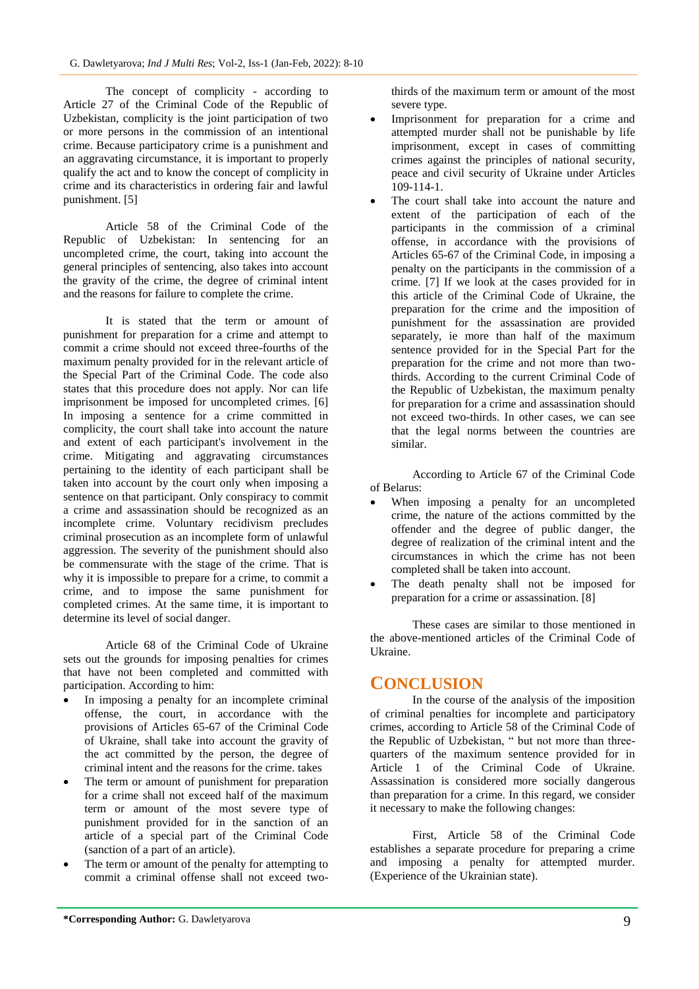The concept of complicity - according to Article 27 of the Criminal Code of the Republic of Uzbekistan, complicity is the joint participation of two or more persons in the commission of an intentional crime. Because participatory crime is a punishment and an aggravating circumstance, it is important to properly qualify the act and to know the concept of complicity in crime and its characteristics in ordering fair and lawful punishment. [5]

Article 58 of the Criminal Code of the Republic of Uzbekistan: In sentencing for an uncompleted crime, the court, taking into account the general principles of sentencing, also takes into account the gravity of the crime, the degree of criminal intent and the reasons for failure to complete the crime.

It is stated that the term or amount of punishment for preparation for a crime and attempt to commit a crime should not exceed three-fourths of the maximum penalty provided for in the relevant article of the Special Part of the Criminal Code. The code also states that this procedure does not apply. Nor can life imprisonment be imposed for uncompleted crimes. [6] In imposing a sentence for a crime committed in complicity, the court shall take into account the nature and extent of each participant's involvement in the crime. Mitigating and aggravating circumstances pertaining to the identity of each participant shall be taken into account by the court only when imposing a sentence on that participant. Only conspiracy to commit a crime and assassination should be recognized as an incomplete crime. Voluntary recidivism precludes criminal prosecution as an incomplete form of unlawful aggression. The severity of the punishment should also be commensurate with the stage of the crime. That is why it is impossible to prepare for a crime, to commit a crime, and to impose the same punishment for completed crimes. At the same time, it is important to determine its level of social danger.

Article 68 of the Criminal Code of Ukraine sets out the grounds for imposing penalties for crimes that have not been completed and committed with participation. According to him:

- In imposing a penalty for an incomplete criminal offense, the court, in accordance with the provisions of Articles 65-67 of the Criminal Code of Ukraine, shall take into account the gravity of the act committed by the person, the degree of criminal intent and the reasons for the crime. takes
- The term or amount of punishment for preparation for a crime shall not exceed half of the maximum term or amount of the most severe type of punishment provided for in the sanction of an article of a special part of the Criminal Code (sanction of a part of an article).
- The term or amount of the penalty for attempting to commit a criminal offense shall not exceed two-

thirds of the maximum term or amount of the most severe type.

- Imprisonment for preparation for a crime and attempted murder shall not be punishable by life imprisonment, except in cases of committing crimes against the principles of national security, peace and civil security of Ukraine under Articles  $109 - 114 - 1$ .
- The court shall take into account the nature and extent of the participation of each of the participants in the commission of a criminal offense, in accordance with the provisions of Articles 65-67 of the Criminal Code, in imposing a penalty on the participants in the commission of a crime. [7] If we look at the cases provided for in this article of the Criminal Code of Ukraine, the preparation for the crime and the imposition of punishment for the assassination are provided separately, ie more than half of the maximum sentence provided for in the Special Part for the preparation for the crime and not more than twothirds. According to the current Criminal Code of the Republic of Uzbekistan, the maximum penalty for preparation for a crime and assassination should not exceed two-thirds. In other cases, we can see that the legal norms between the countries are similar.

According to Article 67 of the Criminal Code of Belarus:

- When imposing a penalty for an uncompleted crime, the nature of the actions committed by the offender and the degree of public danger, the degree of realization of the criminal intent and the circumstances in which the crime has not been completed shall be taken into account.
- The death penalty shall not be imposed for preparation for a crime or assassination. [8]

These cases are similar to those mentioned in the above-mentioned articles of the Criminal Code of Ukraine.

### **CONCLUSION**

In the course of the analysis of the imposition of criminal penalties for incomplete and participatory crimes, according to Article 58 of the Criminal Code of the Republic of Uzbekistan, " but not more than threequarters of the maximum sentence provided for in Article 1 of the Criminal Code of Ukraine. Assassination is considered more socially dangerous than preparation for a crime. In this regard, we consider it necessary to make the following changes:

First, Article 58 of the Criminal Code establishes a separate procedure for preparing a crime and imposing a penalty for attempted murder. (Experience of the Ukrainian state).